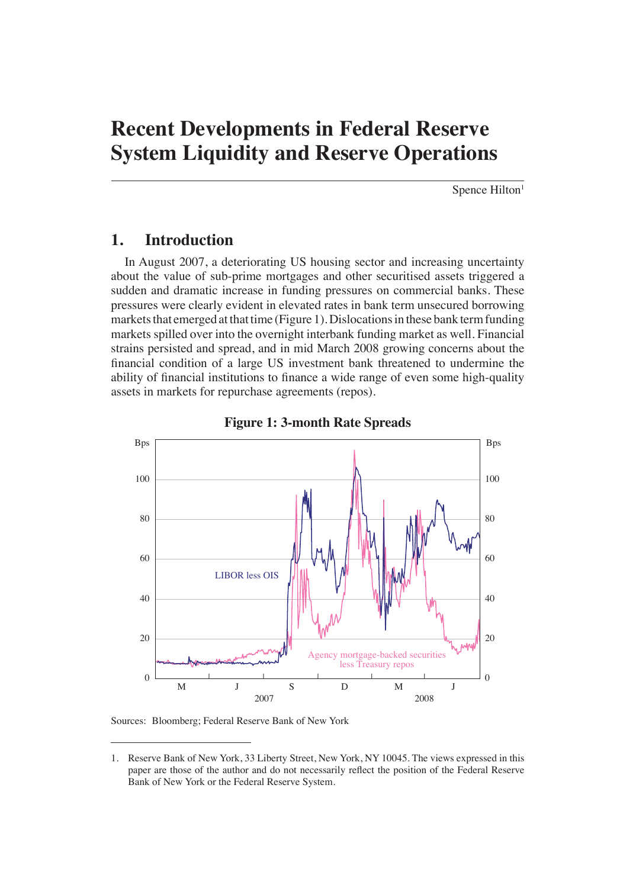# **Recent Developments in Federal Reserve System Liquidity and Reserve Operations**

Spence Hilton<sup>1</sup>

# **1. Introduction**

In August 2007, a deteriorating US housing sector and increasing uncertainty about the value of sub-prime mortgages and other securitised assets triggered a sudden and dramatic increase in funding pressures on commercial banks. These pressures were clearly evident in elevated rates in bank term unsecured borrowing markets that emerged at that time (Figure 1). Dislocations in these bank term funding markets spilled over into the overnight interbank funding market as well. Financial strains persisted and spread, and in mid March 2008 growing concerns about the financial condition of a large US investment bank threatened to undermine the ability of financial institutions to finance a wide range of even some high-quality assets in markets for repurchase agreements (repos).





Sources: Bloomberg; Federal Reserve Bank of New York

<sup>1.</sup> Reserve Bank of New York, 33 Liberty Street, New York, NY 10045. The views expressed in this paper are those of the author and do not necessarily reflect the position of the Federal Reserve Bank of New York or the Federal Reserve System.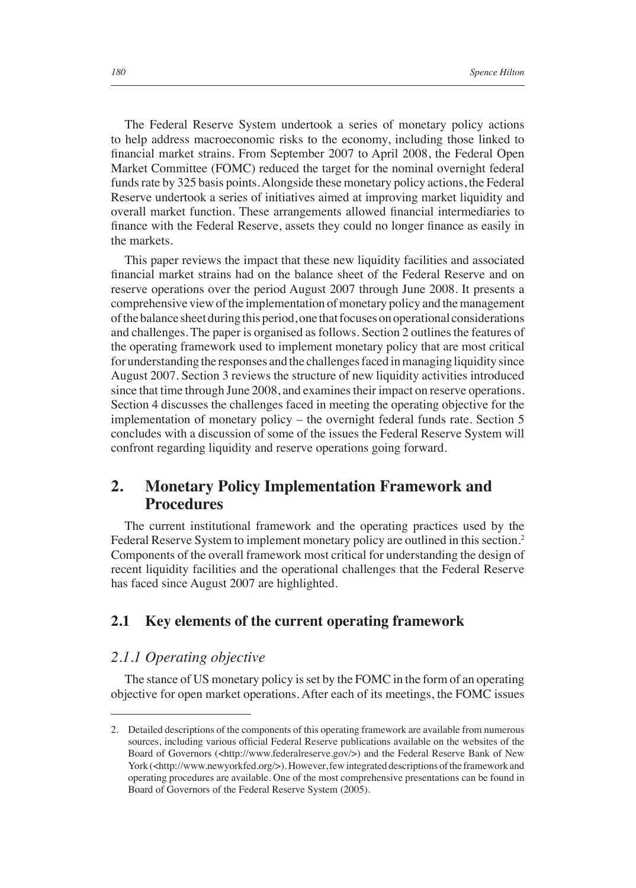The Federal Reserve System undertook a series of monetary policy actions to help address macroeconomic risks to the economy, including those linked to financial market strains. From September 2007 to April 2008, the Federal Open Market Committee (FOMC) reduced the target for the nominal overnight federal funds rate by 325 basis points. Alongside these monetary policy actions, the Federal Reserve undertook a series of initiatives aimed at improving market liquidity and overall market function. These arrangements allowed financial intermediaries to finance with the Federal Reserve, assets they could no longer finance as easily in the markets.

This paper reviews the impact that these new liquidity facilities and associated financial market strains had on the balance sheet of the Federal Reserve and on reserve operations over the period August 2007 through June 2008. It presents a comprehensive view of the implementation of monetary policy and the management of the balance sheet during this period, one that focuses on operational considerations and challenges. The paper is organised as follows. Section 2 outlines the features of the operating framework used to implement monetary policy that are most critical for understanding the responses and the challenges faced in managing liquidity since August 2007. Section 3 reviews the structure of new liquidity activities introduced since that time through June 2008, and examines their impact on reserve operations. Section 4 discusses the challenges faced in meeting the operating objective for the implementation of monetary policy – the overnight federal funds rate. Section 5 concludes with a discussion of some of the issues the Federal Reserve System will confront regarding liquidity and reserve operations going forward.

# **2. Monetary Policy Implementation Framework and Procedures**

The current institutional framework and the operating practices used by the Federal Reserve System to implement monetary policy are outlined in this section.<sup>2</sup> Components of the overall framework most critical for understanding the design of recent liquidity facilities and the operational challenges that the Federal Reserve has faced since August 2007 are highlighted.

## **2.1 Key elements of the current operating framework**

## *2.1.1 Operating objective*

The stance of US monetary policy is set by the FOMC in the form of an operating objective for open market operations. After each of its meetings, the FOMC issues

<sup>2.</sup> Detailed descriptions of the components of this operating framework are available from numerous sources, including various official Federal Reserve publications available on the websites of the Board of Governors (<http://www.federalreserve.gov/>) and the Federal Reserve Bank of New York (<http://www.newyorkfed.org/>). However, few integrated descriptions of the framework and operating procedures are available. One of the most comprehensive presentations can be found in Board of Governors of the Federal Reserve System (2005).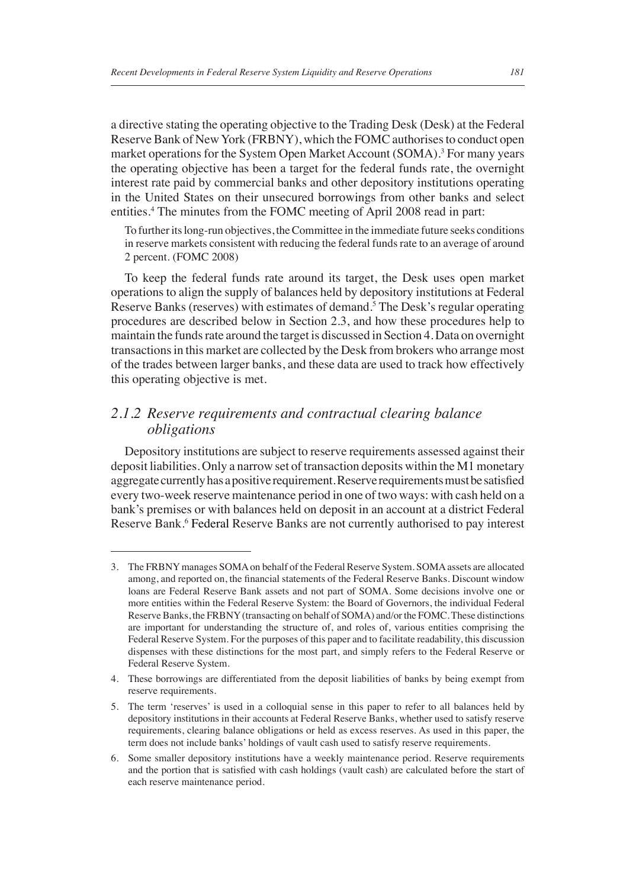a directive stating the operating objective to the Trading Desk (Desk) at the Federal Reserve Bank of New York (FRBNY), which the FOMC authorises to conduct open market operations for the System Open Market Account (SOMA).<sup>3</sup> For many years the operating objective has been a target for the federal funds rate, the overnight interest rate paid by commercial banks and other depository institutions operating in the United States on their unsecured borrowings from other banks and select entities.4 The minutes from the FOMC meeting of April 2008 read in part:

To further its long-run objectives, the Committee in the immediate future seeks conditions in reserve markets consistent with reducing the federal funds rate to an average of around 2 percent. (FOMC 2008)

To keep the federal funds rate around its target, the Desk uses open market operations to align the supply of balances held by depository institutions at Federal Reserve Banks (reserves) with estimates of demand.<sup>5</sup> The Desk's regular operating procedures are described below in Section 2.3, and how these procedures help to maintain the funds rate around the target is discussed in Section 4. Data on overnight transactions in this market are collected by the Desk from brokers who arrange most of the trades between larger banks, and these data are used to track how effectively this operating objective is met.

## *2.1.2 Reserve requirements and contractual clearing balance obligations*

Depository institutions are subject to reserve requirements assessed against their deposit liabilities. Only a narrow set of transaction deposits within the M1 monetary aggregate currently has a positive requirement. Reserve requirements must be satisfied every two-week reserve maintenance period in one of two ways: with cash held on a bank's premises or with balances held on deposit in an account at a district Federal Reserve Bank.<sup>6</sup> Federal Reserve Banks are not currently authorised to pay interest

<sup>3.</sup> The FRBNY manages SOMA on behalf of the Federal Reserve System. SOMA assets are allocated among, and reported on, the financial statements of the Federal Reserve Banks. Discount window loans are Federal Reserve Bank assets and not part of SOMA. Some decisions involve one or more entities within the Federal Reserve System: the Board of Governors, the individual Federal Reserve Banks, the FRBNY (transacting on behalf of SOMA) and/or the FOMC. These distinctions are important for understanding the structure of, and roles of, various entities comprising the Federal Reserve System. For the purposes of this paper and to facilitate readability, this discussion dispenses with these distinctions for the most part, and simply refers to the Federal Reserve or Federal Reserve System.

<sup>4.</sup> These borrowings are differentiated from the deposit liabilities of banks by being exempt from reserve requirements.

<sup>5.</sup> The term 'reserves' is used in a colloquial sense in this paper to refer to all balances held by depository institutions in their accounts at Federal Reserve Banks, whether used to satisfy reserve requirements, clearing balance obligations or held as excess reserves. As used in this paper, the term does not include banks' holdings of vault cash used to satisfy reserve requirements.

<sup>6.</sup> Some smaller depository institutions have a weekly maintenance period. Reserve requirements and the portion that is satisfied with cash holdings (vault cash) are calculated before the start of each reserve maintenance period.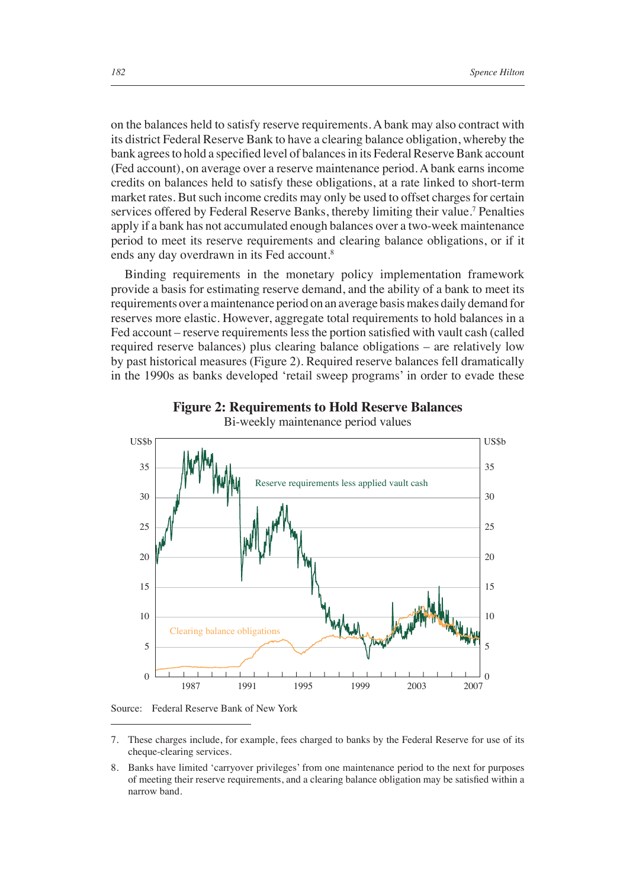on the balances held to satisfy reserve requirements. A bank may also contract with its district Federal Reserve Bank to have a clearing balance obligation, whereby the bank agrees to hold a specified level of balances in its Federal Reserve Bank account (Fed account), on average over a reserve maintenance period. A bank earns income credits on balances held to satisfy these obligations, at a rate linked to short-term market rates. But such income credits may only be used to offset charges for certain services offered by Federal Reserve Banks, thereby limiting their value.<sup>7</sup> Penalties apply if a bank has not accumulated enough balances over a two-week maintenance period to meet its reserve requirements and clearing balance obligations, or if it ends any day overdrawn in its Fed account.<sup>8</sup>

Binding requirements in the monetary policy implementation framework provide a basis for estimating reserve demand, and the ability of a bank to meet its requirements over a maintenance period on an average basis makes daily demand for reserves more elastic. However, aggregate total requirements to hold balances in a Fed account – reserve requirements less the portion satisfied with vault cash (called required reserve balances) plus clearing balance obligations – are relatively low by past historical measures (Figure 2). Required reserve balances fell dramatically in the 1990s as banks developed 'retail sweep programs' in order to evade these



**Figure 2: Requirements to Hold Reserve Balances**

Source: Federal Reserve Bank of New York

- 7. These charges include, for example, fees charged to banks by the Federal Reserve for use of its cheque-clearing services.
- 8. Banks have limited 'carryover privileges' from one maintenance period to the next for purposes of meeting their reserve requirements, and a clearing balance obligation may be satisfied within a narrow band.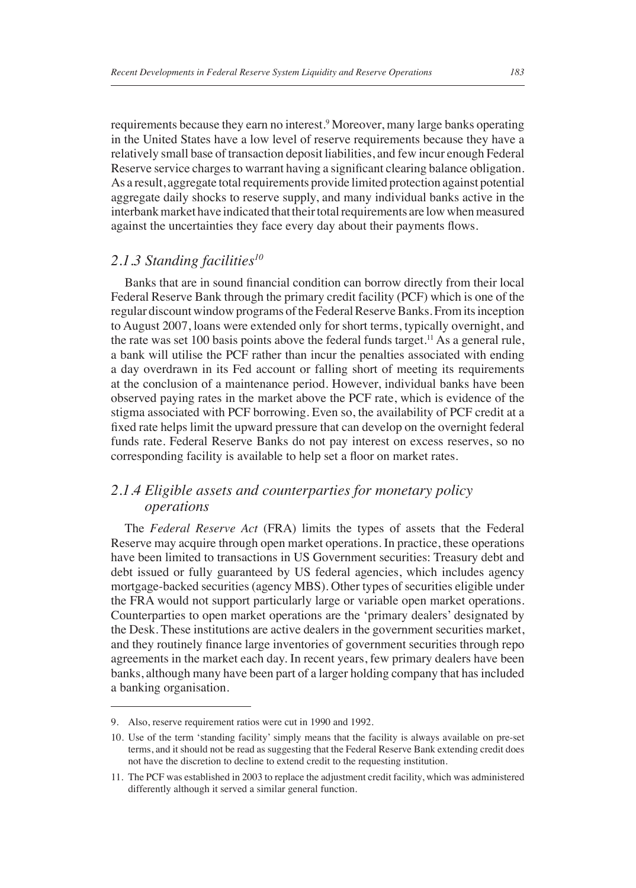requirements because they earn no interest.<sup>9</sup> Moreover, many large banks operating in the United States have a low level of reserve requirements because they have a relatively small base of transaction deposit liabilities, and few incur enough Federal Reserve service charges to warrant having a significant clearing balance obligation. As a result, aggregate total requirements provide limited protection against potential aggregate daily shocks to reserve supply, and many individual banks active in the interbank market have indicated that their total requirements are low when measured against the uncertainties they face every day about their payments flows.

## *2.1.3 Standing facilities10*

Banks that are in sound financial condition can borrow directly from their local Federal Reserve Bank through the primary credit facility (PCF) which is one of the regular discount window programs of the Federal Reserve Banks. From its inception to August 2007, loans were extended only for short terms, typically overnight, and the rate was set 100 basis points above the federal funds target.<sup>11</sup> As a general rule, a bank will utilise the PCF rather than incur the penalties associated with ending a day overdrawn in its Fed account or falling short of meeting its requirements at the conclusion of a maintenance period. However, individual banks have been observed paying rates in the market above the PCF rate, which is evidence of the stigma associated with PCF borrowing. Even so, the availability of PCF credit at a fi xed rate helps limit the upward pressure that can develop on the overnight federal funds rate. Federal Reserve Banks do not pay interest on excess reserves, so no corresponding facility is available to help set a floor on market rates.

# *2.1.4 Eligible assets and counterparties for monetary policy operations*

The *Federal Reserve Act* (FRA) limits the types of assets that the Federal Reserve may acquire through open market operations. In practice, these operations have been limited to transactions in US Government securities: Treasury debt and debt issued or fully guaranteed by US federal agencies, which includes agency mortgage-backed securities (agency MBS). Other types of securities eligible under the FRA would not support particularly large or variable open market operations. Counterparties to open market operations are the 'primary dealers' designated by the Desk. These institutions are active dealers in the government securities market, and they routinely finance large inventories of government securities through repo agreements in the market each day. In recent years, few primary dealers have been banks, although many have been part of a larger holding company that has included a banking organisation.

<sup>9.</sup> Also, reserve requirement ratios were cut in 1990 and 1992.

<sup>10.</sup> Use of the term 'standing facility' simply means that the facility is always available on pre-set terms, and it should not be read as suggesting that the Federal Reserve Bank extending credit does not have the discretion to decline to extend credit to the requesting institution.

<sup>11.</sup> The PCF was established in 2003 to replace the adjustment credit facility, which was administered differently although it served a similar general function.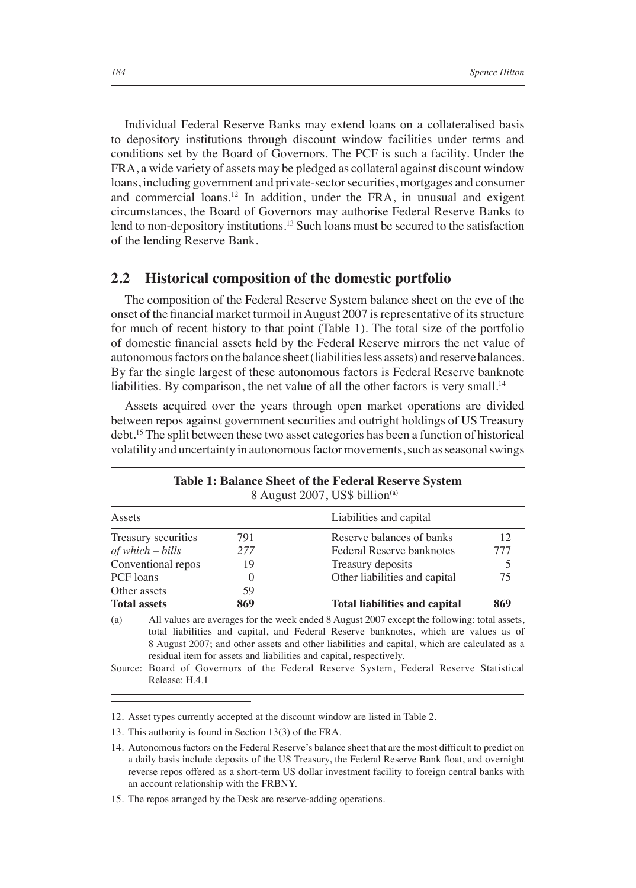Individual Federal Reserve Banks may extend loans on a collateralised basis to depository institutions through discount window facilities under terms and conditions set by the Board of Governors. The PCF is such a facility. Under the FRA, a wide variety of assets may be pledged as collateral against discount window loans, including government and private-sector securities, mortgages and consumer and commercial loans.12 In addition, under the FRA, in unusual and exigent circumstances, the Board of Governors may authorise Federal Reserve Banks to lend to non-depository institutions.<sup>13</sup> Such loans must be secured to the satisfaction of the lending Reserve Bank.

#### **2.2 Historical composition of the domestic portfolio**

The composition of the Federal Reserve System balance sheet on the eve of the onset of the financial market turmoil in August 2007 is representative of its structure for much of recent history to that point (Table 1). The total size of the portfolio of domestic financial assets held by the Federal Reserve mirrors the net value of autonomous factors on the balance sheet (liabilities less assets) and reserve balances. By far the single largest of these autonomous factors is Federal Reserve banknote liabilities. By comparison, the net value of all the other factors is very small.<sup>14</sup>

Assets acquired over the years through open market operations are divided between repos against government securities and outright holdings of US Treasury debt.15 The split between these two asset categories has been a function of historical volatility and uncertainty in autonomous factor movements, such as seasonal swings

| Table 1: Balance Sheet of the Federal Reserve System<br>8 August 2007, US\$ billion <sup>(a)</sup> |                                                                                                                                                                                                                                                                                                                                                                                                                                                      |     |                                      |     |  |  |  |
|----------------------------------------------------------------------------------------------------|------------------------------------------------------------------------------------------------------------------------------------------------------------------------------------------------------------------------------------------------------------------------------------------------------------------------------------------------------------------------------------------------------------------------------------------------------|-----|--------------------------------------|-----|--|--|--|
| Assets                                                                                             |                                                                                                                                                                                                                                                                                                                                                                                                                                                      |     | Liabilities and capital              |     |  |  |  |
| Treasury securities                                                                                |                                                                                                                                                                                                                                                                                                                                                                                                                                                      | 791 | Reserve balances of banks            |     |  |  |  |
| $of which - bills$                                                                                 |                                                                                                                                                                                                                                                                                                                                                                                                                                                      | 277 | 777<br>Federal Reserve banknotes     |     |  |  |  |
| Conventional repos                                                                                 |                                                                                                                                                                                                                                                                                                                                                                                                                                                      | 19  | Treasury deposits                    |     |  |  |  |
| PCF loans                                                                                          |                                                                                                                                                                                                                                                                                                                                                                                                                                                      | 0   | Other liabilities and capital        |     |  |  |  |
| Other assets                                                                                       |                                                                                                                                                                                                                                                                                                                                                                                                                                                      | 59  |                                      |     |  |  |  |
| <b>Total assets</b>                                                                                |                                                                                                                                                                                                                                                                                                                                                                                                                                                      | 869 | <b>Total liabilities and capital</b> | 869 |  |  |  |
| (a)                                                                                                | All values are averages for the week ended 8 August 2007 except the following: total assets,<br>total liabilities and capital, and Federal Reserve banknotes, which are values as of<br>8 August 2007; and other assets and other liabilities and capital, which are calculated as a<br>residual item for assets and liabilities and capital, respectively.<br>Source: Board of Governors of the Federal Reserve System, Federal Reserve Statistical |     |                                      |     |  |  |  |
|                                                                                                    | Release: H.4.1                                                                                                                                                                                                                                                                                                                                                                                                                                       |     |                                      |     |  |  |  |

12. Asset types currently accepted at the discount window are listed in Table 2.

13. This authority is found in Section 13(3) of the FRA.

15. The repos arranged by the Desk are reserve-adding operations.

<sup>14.</sup> Autonomous factors on the Federal Reserve's balance sheet that are the most difficult to predict on a daily basis include deposits of the US Treasury, the Federal Reserve Bank float, and overnight reverse repos offered as a short-term US dollar investment facility to foreign central banks with an account relationship with the FRBNY.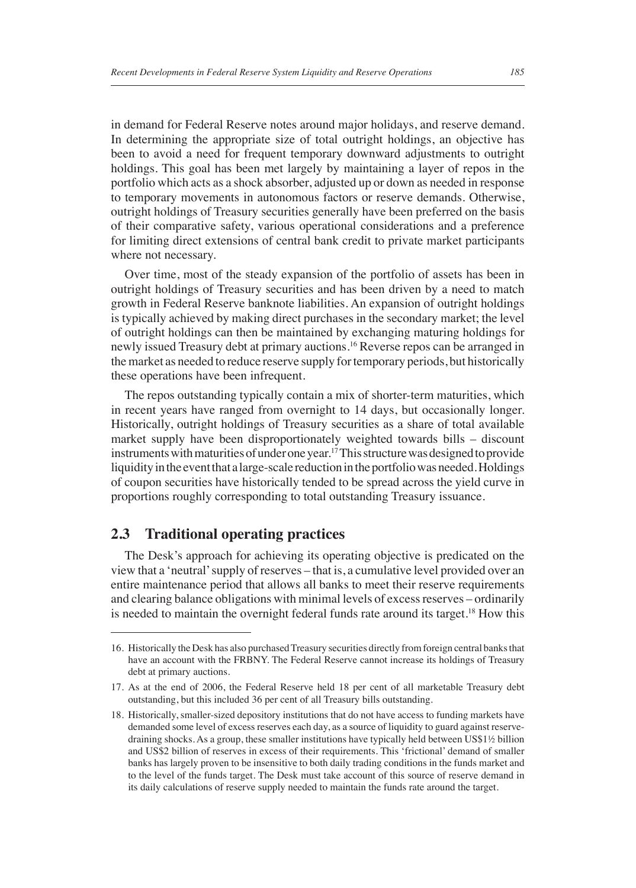in demand for Federal Reserve notes around major holidays, and reserve demand. In determining the appropriate size of total outright holdings, an objective has been to avoid a need for frequent temporary downward adjustments to outright holdings. This goal has been met largely by maintaining a layer of repos in the portfolio which acts as a shock absorber, adjusted up or down as needed in response to temporary movements in autonomous factors or reserve demands. Otherwise, outright holdings of Treasury securities generally have been preferred on the basis of their comparative safety, various operational considerations and a preference for limiting direct extensions of central bank credit to private market participants where not necessary.

Over time, most of the steady expansion of the portfolio of assets has been in outright holdings of Treasury securities and has been driven by a need to match growth in Federal Reserve banknote liabilities. An expansion of outright holdings is typically achieved by making direct purchases in the secondary market; the level of outright holdings can then be maintained by exchanging maturing holdings for newly issued Treasury debt at primary auctions.16 Reverse repos can be arranged in the market as needed to reduce reserve supply for temporary periods, but historically these operations have been infrequent.

The repos outstanding typically contain a mix of shorter-term maturities, which in recent years have ranged from overnight to 14 days, but occasionally longer. Historically, outright holdings of Treasury securities as a share of total available market supply have been disproportionately weighted towards bills – discount instruments with maturities of under one year.17 This structure was designed to provide liquidity in the event that a large-scale reduction in the portfolio was needed. Holdings of coupon securities have historically tended to be spread across the yield curve in proportions roughly corresponding to total outstanding Treasury issuance.

### **2.3 Traditional operating practices**

The Desk's approach for achieving its operating objective is predicated on the view that a 'neutral' supply of reserves – that is, a cumulative level provided over an entire maintenance period that allows all banks to meet their reserve requirements and clearing balance obligations with minimal levels of excess reserves – ordinarily is needed to maintain the overnight federal funds rate around its target.18 How this

<sup>16.</sup> Historically the Desk has also purchased Treasury securities directly from foreign central banks that have an account with the FRBNY. The Federal Reserve cannot increase its holdings of Treasury debt at primary auctions.

<sup>17.</sup> As at the end of 2006, the Federal Reserve held 18 per cent of all marketable Treasury debt outstanding, but this included 36 per cent of all Treasury bills outstanding.

<sup>18.</sup> Historically, smaller-sized depository institutions that do not have access to funding markets have demanded some level of excess reserves each day, as a source of liquidity to guard against reservedraining shocks. As a group, these smaller institutions have typically held between US\$1½ billion and US\$2 billion of reserves in excess of their requirements. This 'frictional' demand of smaller banks has largely proven to be insensitive to both daily trading conditions in the funds market and to the level of the funds target. The Desk must take account of this source of reserve demand in its daily calculations of reserve supply needed to maintain the funds rate around the target.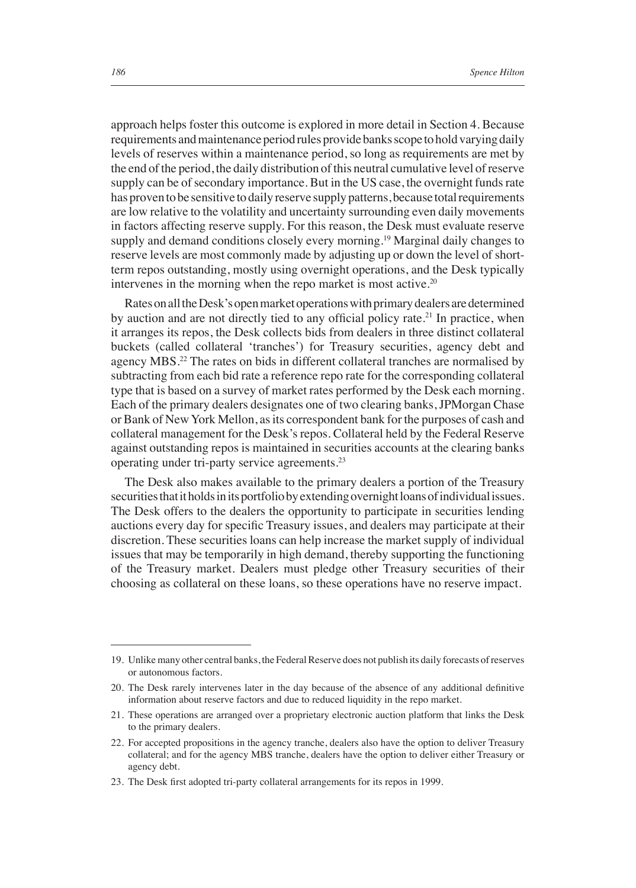approach helps foster this outcome is explored in more detail in Section 4. Because requirements and maintenance period rules provide banks scope to hold varying daily levels of reserves within a maintenance period, so long as requirements are met by the end of the period, the daily distribution of this neutral cumulative level of reserve supply can be of secondary importance. But in the US case, the overnight funds rate has proven to be sensitive to daily reserve supply patterns, because total requirements are low relative to the volatility and uncertainty surrounding even daily movements in factors affecting reserve supply. For this reason, the Desk must evaluate reserve supply and demand conditions closely every morning.<sup>19</sup> Marginal daily changes to reserve levels are most commonly made by adjusting up or down the level of shortterm repos outstanding, mostly using overnight operations, and the Desk typically intervenes in the morning when the repo market is most active.<sup>20</sup>

Rates on all the Desk's open market operations with primary dealers are determined by auction and are not directly tied to any official policy rate.<sup>21</sup> In practice, when it arranges its repos, the Desk collects bids from dealers in three distinct collateral buckets (called collateral 'tranches') for Treasury securities, agency debt and agency MBS.22 The rates on bids in different collateral tranches are normalised by subtracting from each bid rate a reference repo rate for the corresponding collateral type that is based on a survey of market rates performed by the Desk each morning. Each of the primary dealers designates one of two clearing banks, JPMorgan Chase or Bank of New York Mellon, as its correspondent bank for the purposes of cash and collateral management for the Desk's repos. Collateral held by the Federal Reserve against outstanding repos is maintained in securities accounts at the clearing banks operating under tri-party service agreements.23

The Desk also makes available to the primary dealers a portion of the Treasury securities that it holds in its portfolio by extending overnight loans of individual issues. The Desk offers to the dealers the opportunity to participate in securities lending auctions every day for specific Treasury issues, and dealers may participate at their discretion. These securities loans can help increase the market supply of individual issues that may be temporarily in high demand, thereby supporting the functioning of the Treasury market. Dealers must pledge other Treasury securities of their choosing as collateral on these loans, so these operations have no reserve impact.

<sup>19.</sup> Unlike many other central banks, the Federal Reserve does not publish its daily forecasts of reserves or autonomous factors.

<sup>20.</sup> The Desk rarely intervenes later in the day because of the absence of any additional definitive information about reserve factors and due to reduced liquidity in the repo market.

<sup>21.</sup> These operations are arranged over a proprietary electronic auction platform that links the Desk to the primary dealers.

<sup>22.</sup> For accepted propositions in the agency tranche, dealers also have the option to deliver Treasury collateral; and for the agency MBS tranche, dealers have the option to deliver either Treasury or agency debt.

<sup>23.</sup> The Desk first adopted tri-party collateral arrangements for its repos in 1999.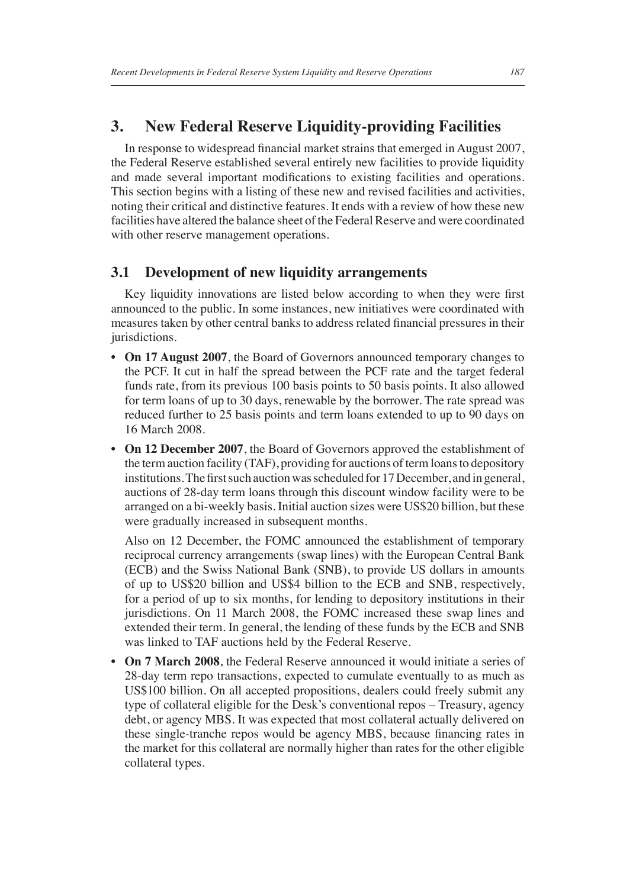# **3. New Federal Reserve Liquidity-providing Facilities**

In response to widespread financial market strains that emerged in August 2007, the Federal Reserve established several entirely new facilities to provide liquidity and made several important modifications to existing facilities and operations. This section begins with a listing of these new and revised facilities and activities, noting their critical and distinctive features. It ends with a review of how these new facilities have altered the balance sheet of the Federal Reserve and were coordinated with other reserve management operations.

# **3.1 Development of new liquidity arrangements**

Key liquidity innovations are listed below according to when they were first announced to the public. In some instances, new initiatives were coordinated with measures taken by other central banks to address related financial pressures in their jurisdictions.

- **On 17 August 2007**, the Board of Governors announced temporary changes to the PCF. It cut in half the spread between the PCF rate and the target federal funds rate, from its previous 100 basis points to 50 basis points. It also allowed for term loans of up to 30 days, renewable by the borrower. The rate spread was reduced further to 25 basis points and term loans extended to up to 90 days on 16 March 2008.
- **On 12 December 2007**, the Board of Governors approved the establishment of the term auction facility (TAF), providing for auctions of term loans to depository institutions. The first such auction was scheduled for 17 December, and in general, auctions of 28-day term loans through this discount window facility were to be arranged on a bi-weekly basis. Initial auction sizes were US\$20 billion, but these were gradually increased in subsequent months.

 Also on 12 December, the FOMC announced the establishment of temporary reciprocal currency arrangements (swap lines) with the European Central Bank (ECB) and the Swiss National Bank (SNB), to provide US dollars in amounts of up to US\$20 billion and US\$4 billion to the ECB and SNB, respectively, for a period of up to six months, for lending to depository institutions in their jurisdictions. On 11 March 2008, the FOMC increased these swap lines and extended their term. In general, the lending of these funds by the ECB and SNB was linked to TAF auctions held by the Federal Reserve.

• **On 7 March 2008**, the Federal Reserve announced it would initiate a series of 28-day term repo transactions, expected to cumulate eventually to as much as US\$100 billion. On all accepted propositions, dealers could freely submit any type of collateral eligible for the Desk's conventional repos – Treasury, agency debt, or agency MBS. It was expected that most collateral actually delivered on these single-tranche repos would be agency MBS, because financing rates in the market for this collateral are normally higher than rates for the other eligible collateral types.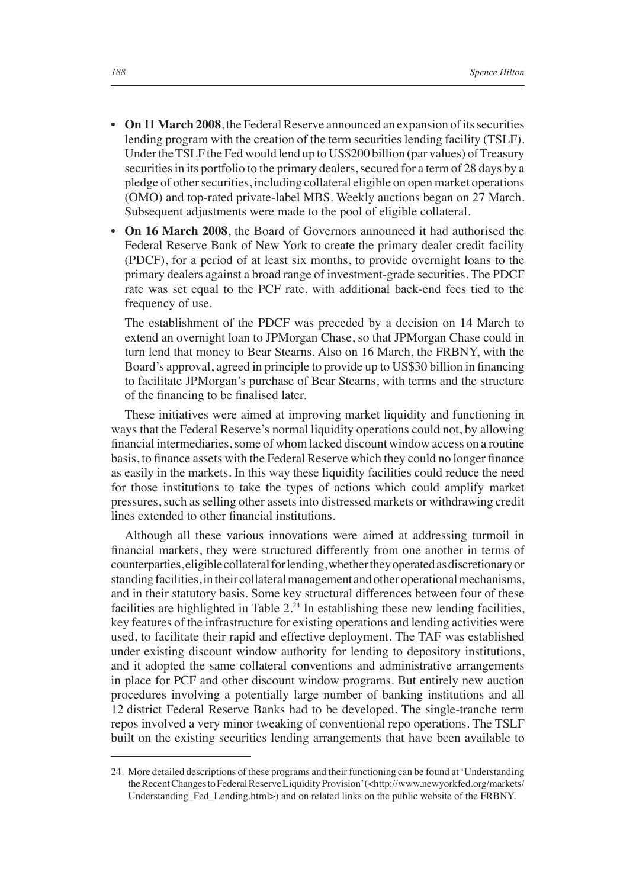- **On 11 March 2008**, the Federal Reserve announced an expansion of its securities lending program with the creation of the term securities lending facility (TSLF). Under the TSLF the Fed would lend up to US\$200 billion (par values) of Treasury securities in its portfolio to the primary dealers, secured for a term of 28 days by a pledge of other securities, including collateral eligible on open market operations (OMO) and top-rated private-label MBS. Weekly auctions began on 27 March. Subsequent adjustments were made to the pool of eligible collateral.
- **On 16 March 2008**, the Board of Governors announced it had authorised the Federal Reserve Bank of New York to create the primary dealer credit facility (PDCF), for a period of at least six months, to provide overnight loans to the primary dealers against a broad range of investment-grade securities. The PDCF rate was set equal to the PCF rate, with additional back-end fees tied to the frequency of use.

 The establishment of the PDCF was preceded by a decision on 14 March to extend an overnight loan to JPMorgan Chase, so that JPMorgan Chase could in turn lend that money to Bear Stearns. Also on 16 March, the FRBNY, with the Board's approval, agreed in principle to provide up to US\$30 billion in financing to facilitate JPMorgan's purchase of Bear Stearns, with terms and the structure of the financing to be finalised later.

These initiatives were aimed at improving market liquidity and functioning in ways that the Federal Reserve's normal liquidity operations could not, by allowing financial intermediaries, some of whom lacked discount window access on a routine basis, to finance assets with the Federal Reserve which they could no longer finance as easily in the markets. In this way these liquidity facilities could reduce the need for those institutions to take the types of actions which could amplify market pressures, such as selling other assets into distressed markets or withdrawing credit lines extended to other financial institutions.

Although all these various innovations were aimed at addressing turmoil in financial markets, they were structured differently from one another in terms of counterparties, eligible collateral for lending, whether they operated as discretionary or standing facilities, in their collateral management and other operational mechanisms, and in their statutory basis. Some key structural differences between four of these facilities are highlighted in Table  $2.^{24}$  In establishing these new lending facilities, key features of the infrastructure for existing operations and lending activities were used, to facilitate their rapid and effective deployment. The TAF was established under existing discount window authority for lending to depository institutions, and it adopted the same collateral conventions and administrative arrangements in place for PCF and other discount window programs. But entirely new auction procedures involving a potentially large number of banking institutions and all 12 district Federal Reserve Banks had to be developed. The single-tranche term repos involved a very minor tweaking of conventional repo operations. The TSLF built on the existing securities lending arrangements that have been available to

<sup>24.</sup> More detailed descriptions of these programs and their functioning can be found at 'Understanding the Recent Changes to Federal Reserve Liquidity Provision' (<http://www.newyorkfed.org/markets/ Understanding\_Fed\_Lending.html>) and on related links on the public website of the FRBNY.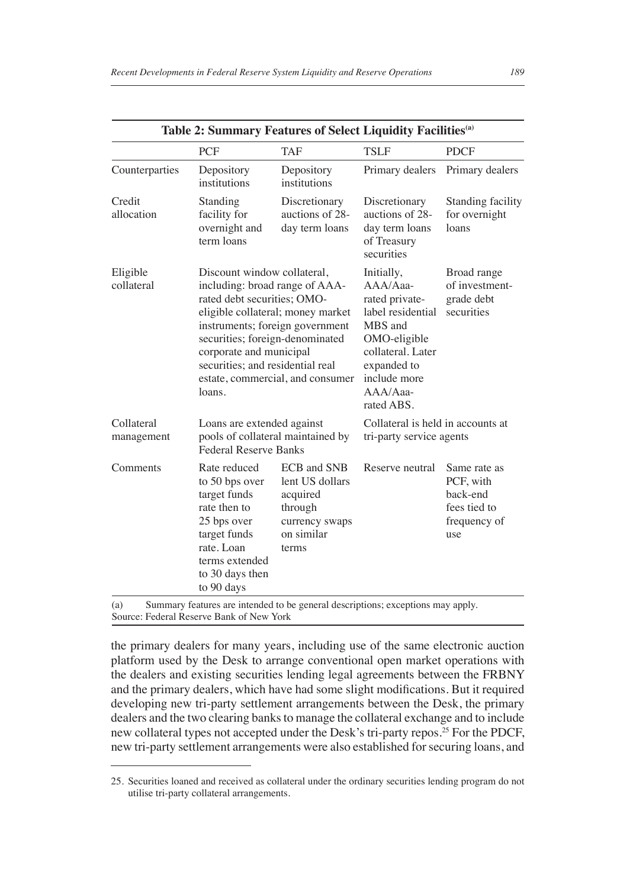| Table 2: Summary Features of Select Liquidity Facilities <sup>(a)</sup> |                                                                                                                                                                |                                                                                                                                                                                                                                                                                                            |                                                                                 |                                                                              |  |  |  |
|-------------------------------------------------------------------------|----------------------------------------------------------------------------------------------------------------------------------------------------------------|------------------------------------------------------------------------------------------------------------------------------------------------------------------------------------------------------------------------------------------------------------------------------------------------------------|---------------------------------------------------------------------------------|------------------------------------------------------------------------------|--|--|--|
|                                                                         | <b>PCF</b>                                                                                                                                                     | <b>TAF</b>                                                                                                                                                                                                                                                                                                 | <b>TSLF</b>                                                                     | <b>PDCF</b>                                                                  |  |  |  |
| Counterparties                                                          | Depository<br>institutions                                                                                                                                     | Depository<br>institutions                                                                                                                                                                                                                                                                                 | Primary dealers                                                                 | Primary dealers                                                              |  |  |  |
| Credit<br>allocation                                                    | Standing<br>facility for<br>overnight and<br>term loans                                                                                                        | Discretionary<br>auctions of 28-<br>day term loans                                                                                                                                                                                                                                                         | Discretionary<br>auctions of 28-<br>day term loans<br>of Treasury<br>securities | <b>Standing facility</b><br>for overnight<br>loans                           |  |  |  |
| Eligible<br>collateral                                                  | loans.                                                                                                                                                         | Discount window collateral,<br>including: broad range of AAA-<br>rated debt securities: OMO-<br>eligible collateral; money market<br>instruments; foreign government<br>securities; foreign-denominated<br>corporate and municipal<br>securities; and residential real<br>estate, commercial, and consumer |                                                                                 | Broad range<br>of investment-<br>grade debt<br>securities                    |  |  |  |
| Collateral<br>management                                                | Loans are extended against<br>pools of collateral maintained by<br><b>Federal Reserve Banks</b>                                                                |                                                                                                                                                                                                                                                                                                            | Collateral is held in accounts at<br>tri-party service agents                   |                                                                              |  |  |  |
| Comments                                                                | Rate reduced<br>to 50 bps over<br>target funds<br>rate then to<br>25 bps over<br>target funds<br>rate. Loan<br>terms extended<br>to 30 days then<br>to 90 days | ECB and SNB<br>lent US dollars<br>acquired<br>through<br>currency swaps<br>on similar<br>terms                                                                                                                                                                                                             | Reserve neutral                                                                 | Same rate as<br>PCF, with<br>back-end<br>fees tied to<br>frequency of<br>use |  |  |  |

(a) Summary features are intended to be general descriptions; exceptions may apply. Source: Federal Reserve Bank of New York

the primary dealers for many years, including use of the same electronic auction platform used by the Desk to arrange conventional open market operations with the dealers and existing securities lending legal agreements between the FRBNY and the primary dealers, which have had some slight modifications. But it required developing new tri-party settlement arrangements between the Desk, the primary dealers and the two clearing banks to manage the collateral exchange and to include new collateral types not accepted under the Desk's tri-party repos.<sup>25</sup> For the PDCF, new tri-party settlement arrangements were also established for securing loans, and

<sup>25.</sup> Securities loaned and received as collateral under the ordinary securities lending program do not utilise tri-party collateral arrangements.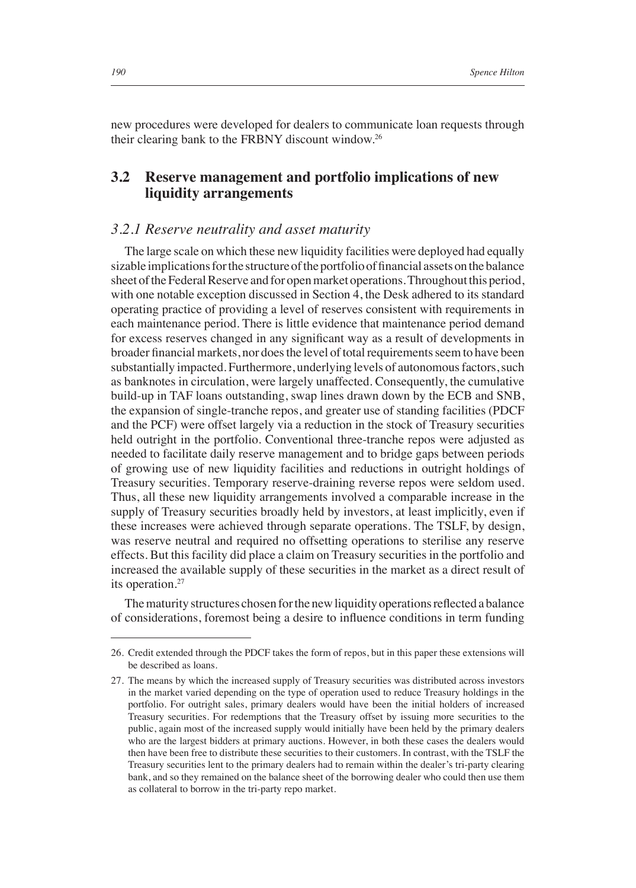new procedures were developed for dealers to communicate loan requests through their clearing bank to the FRBNY discount window.26

## **3.2 Reserve management and portfolio implications of new liquidity arrangements**

## *3.2.1 Reserve neutrality and asset maturity*

The large scale on which these new liquidity facilities were deployed had equally sizable implications for the structure of the portfolio of financial assets on the balance sheet of the Federal Reserve and for open market operations. Throughout this period, with one notable exception discussed in Section 4, the Desk adhered to its standard operating practice of providing a level of reserves consistent with requirements in each maintenance period. There is little evidence that maintenance period demand for excess reserves changed in any significant way as a result of developments in broader financial markets, nor does the level of total requirements seem to have been substantially impacted. Furthermore, underlying levels of autonomous factors, such as banknotes in circulation, were largely unaffected. Consequently, the cumulative build-up in TAF loans outstanding, swap lines drawn down by the ECB and SNB, the expansion of single-tranche repos, and greater use of standing facilities (PDCF and the PCF) were offset largely via a reduction in the stock of Treasury securities held outright in the portfolio. Conventional three-tranche repos were adjusted as needed to facilitate daily reserve management and to bridge gaps between periods of growing use of new liquidity facilities and reductions in outright holdings of Treasury securities. Temporary reserve-draining reverse repos were seldom used. Thus, all these new liquidity arrangements involved a comparable increase in the supply of Treasury securities broadly held by investors, at least implicitly, even if these increases were achieved through separate operations. The TSLF, by design, was reserve neutral and required no offsetting operations to sterilise any reserve effects. But this facility did place a claim on Treasury securities in the portfolio and increased the available supply of these securities in the market as a direct result of its operation.<sup>27</sup>

The maturity structures chosen for the new liquidity operations reflected a balance of considerations, foremost being a desire to influence conditions in term funding

<sup>26.</sup> Credit extended through the PDCF takes the form of repos, but in this paper these extensions will be described as loans.

<sup>27.</sup> The means by which the increased supply of Treasury securities was distributed across investors in the market varied depending on the type of operation used to reduce Treasury holdings in the portfolio. For outright sales, primary dealers would have been the initial holders of increased Treasury securities. For redemptions that the Treasury offset by issuing more securities to the public, again most of the increased supply would initially have been held by the primary dealers who are the largest bidders at primary auctions. However, in both these cases the dealers would then have been free to distribute these securities to their customers. In contrast, with the TSLF the Treasury securities lent to the primary dealers had to remain within the dealer's tri-party clearing bank, and so they remained on the balance sheet of the borrowing dealer who could then use them as collateral to borrow in the tri-party repo market.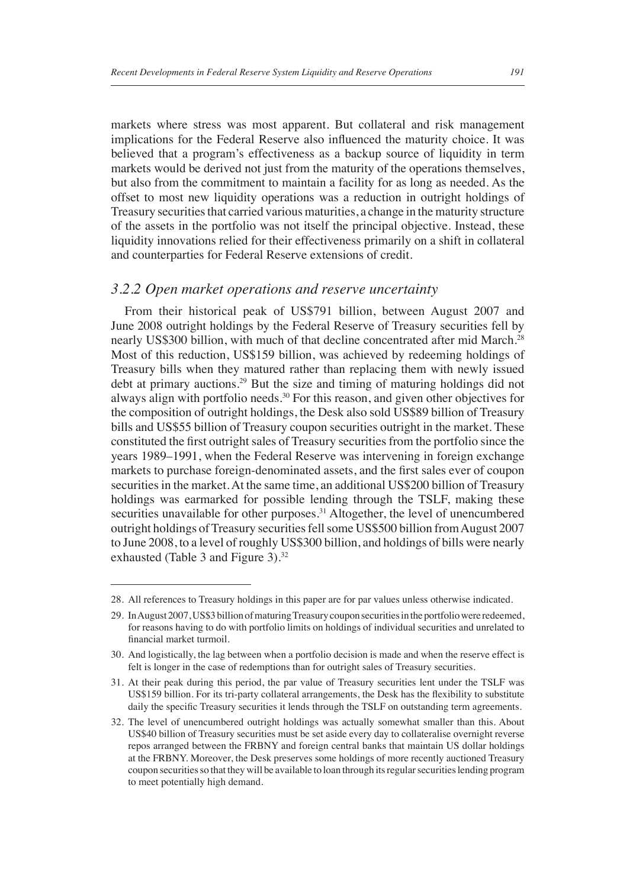markets where stress was most apparent. But collateral and risk management implications for the Federal Reserve also influenced the maturity choice. It was believed that a program's effectiveness as a backup source of liquidity in term markets would be derived not just from the maturity of the operations themselves, but also from the commitment to maintain a facility for as long as needed. As the offset to most new liquidity operations was a reduction in outright holdings of Treasury securities that carried various maturities, a change in the maturity structure of the assets in the portfolio was not itself the principal objective. Instead, these liquidity innovations relied for their effectiveness primarily on a shift in collateral and counterparties for Federal Reserve extensions of credit.

#### *3.2.2 Open market operations and reserve uncertainty*

From their historical peak of US\$791 billion, between August 2007 and June 2008 outright holdings by the Federal Reserve of Treasury securities fell by nearly US\$300 billion, with much of that decline concentrated after mid March.<sup>28</sup> Most of this reduction, US\$159 billion, was achieved by redeeming holdings of Treasury bills when they matured rather than replacing them with newly issued debt at primary auctions.<sup>29</sup> But the size and timing of maturing holdings did not always align with portfolio needs.<sup>30</sup> For this reason, and given other objectives for the composition of outright holdings, the Desk also sold US\$89 billion of Treasury bills and US\$55 billion of Treasury coupon securities outright in the market. These constituted the first outright sales of Treasury securities from the portfolio since the years 1989–1991, when the Federal Reserve was intervening in foreign exchange markets to purchase foreign-denominated assets, and the first sales ever of coupon securities in the market. At the same time, an additional US\$200 billion of Treasury holdings was earmarked for possible lending through the TSLF, making these securities unavailable for other purposes.<sup>31</sup> Altogether, the level of unencumbered outright holdings of Treasury securities fell some US\$500 billion from August 2007 to June 2008, to a level of roughly US\$300 billion, and holdings of bills were nearly exhausted (Table 3 and Figure 3).<sup>32</sup>

<sup>28.</sup> All references to Treasury holdings in this paper are for par values unless otherwise indicated.

<sup>29.</sup> In August 2007, US\$3 billion of maturing Treasury coupon securities in the portfolio were redeemed, for reasons having to do with portfolio limits on holdings of individual securities and unrelated to financial market turmoil.

<sup>30.</sup> And logistically, the lag between when a portfolio decision is made and when the reserve effect is felt is longer in the case of redemptions than for outright sales of Treasury securities.

<sup>31.</sup> At their peak during this period, the par value of Treasury securities lent under the TSLF was US\$159 billion. For its tri-party collateral arrangements, the Desk has the flexibility to substitute daily the specific Treasury securities it lends through the TSLF on outstanding term agreements.

<sup>32.</sup> The level of unencumbered outright holdings was actually somewhat smaller than this. About US\$40 billion of Treasury securities must be set aside every day to collateralise overnight reverse repos arranged between the FRBNY and foreign central banks that maintain US dollar holdings at the FRBNY. Moreover, the Desk preserves some holdings of more recently auctioned Treasury coupon securities so that they will be available to loan through its regular securities lending program to meet potentially high demand.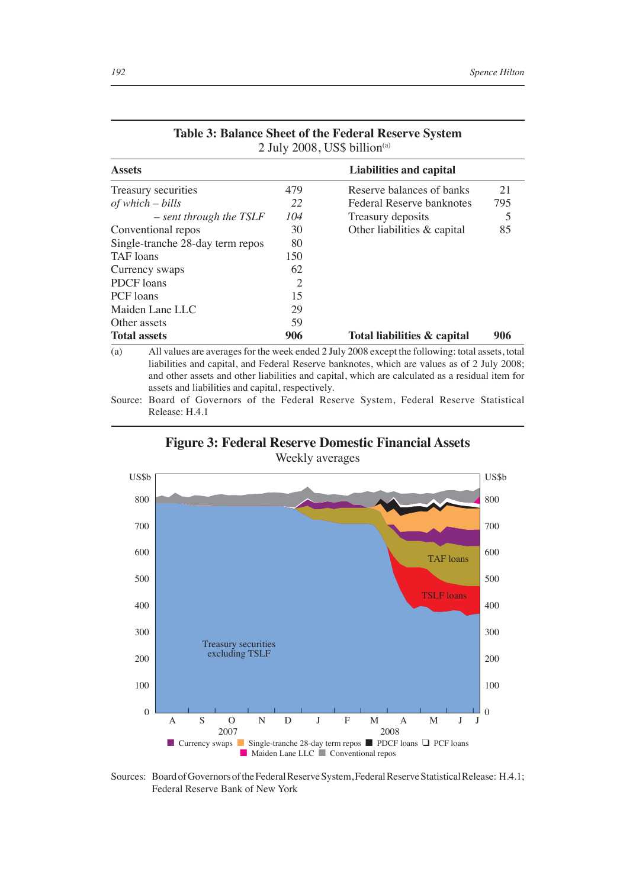| <b>Assets</b>                    |                | Liabilities and capital     |     |  |  |
|----------------------------------|----------------|-----------------------------|-----|--|--|
| Treasury securities              | 479            | Reserve balances of banks   | 21  |  |  |
| $of which - bills$               | 22             | Federal Reserve banknotes   | 795 |  |  |
| $-$ sent through the TSLF        | 104            | Treasury deposits           | 5   |  |  |
| Conventional repos               | 30             | Other liabilities & capital | 85  |  |  |
| Single-tranche 28-day term repos | 80             |                             |     |  |  |
| TAF loans                        | 150            |                             |     |  |  |
| Currency swaps                   | 62             |                             |     |  |  |
| <b>PDCF</b> loans                | $\overline{c}$ |                             |     |  |  |
| PCF loans                        | 15             |                             |     |  |  |
| Maiden Lane LLC                  | 29             |                             |     |  |  |
| Other assets                     | 59             |                             |     |  |  |
| <b>Total assets</b>              | 906            | Total liabilities & capital | 906 |  |  |

#### **Table 3: Balance Sheet of the Federal Reserve System** 2 July 2008, US\$ billion<sup>(a)</sup>

(a) All values are averages for the week ended 2 July 2008 except the following: total assets, total liabilities and capital, and Federal Reserve banknotes, which are values as of 2 July 2008; and other assets and other liabilities and capital, which are calculated as a residual item for assets and liabilities and capital, respectively.

Source: Board of Governors of the Federal Reserve System, Federal Reserve Statistical Release: H.4.1

**Figure 3: Federal Reserve Domestic Financial Assets**

Weekly averages



Sources: Board of Governors of the Federal Reserve System, Federal Reserve Statistical Release: H.4.1; Federal Reserve Bank of New York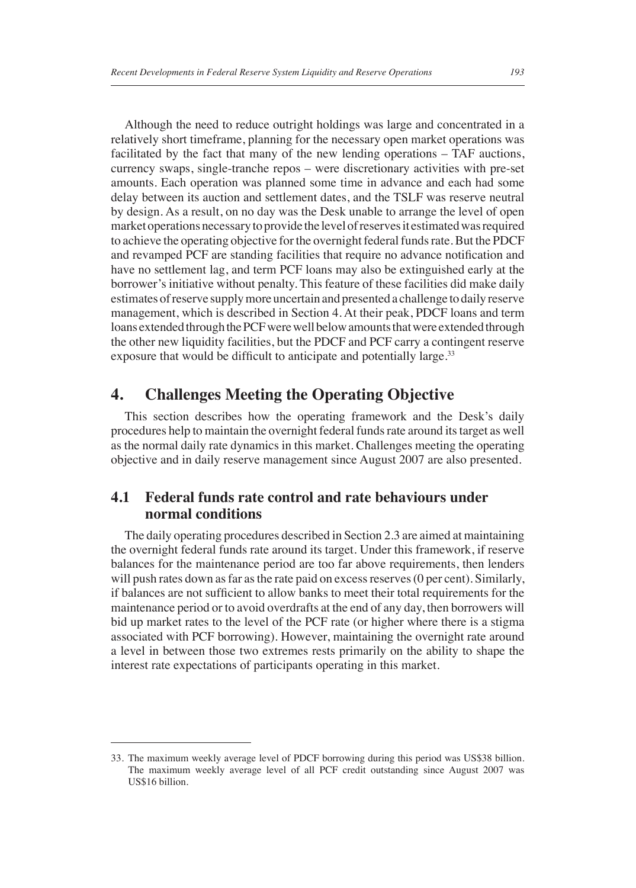Although the need to reduce outright holdings was large and concentrated in a relatively short timeframe, planning for the necessary open market operations was facilitated by the fact that many of the new lending operations – TAF auctions, currency swaps, single-tranche repos – were discretionary activities with pre-set amounts. Each operation was planned some time in advance and each had some delay between its auction and settlement dates, and the TSLF was reserve neutral by design. As a result, on no day was the Desk unable to arrange the level of open market operations necessary to provide the level of reserves it estimated was required to achieve the operating objective for the overnight federal funds rate. But the PDCF and revamped PCF are standing facilities that require no advance notification and have no settlement lag, and term PCF loans may also be extinguished early at the borrower's initiative without penalty. This feature of these facilities did make daily estimates of reserve supply more uncertain and presented a challenge to daily reserve management, which is described in Section 4. At their peak, PDCF loans and term loans extended through the PCF were well below amounts that were extended through the other new liquidity facilities, but the PDCF and PCF carry a contingent reserve exposure that would be difficult to anticipate and potentially large.<sup>33</sup>

# **4. Challenges Meeting the Operating Objective**

This section describes how the operating framework and the Desk's daily procedures help to maintain the overnight federal funds rate around its target as well as the normal daily rate dynamics in this market. Challenges meeting the operating objective and in daily reserve management since August 2007 are also presented.

## **4.1 Federal funds rate control and rate behaviours under normal conditions**

The daily operating procedures described in Section 2.3 are aimed at maintaining the overnight federal funds rate around its target. Under this framework, if reserve balances for the maintenance period are too far above requirements, then lenders will push rates down as far as the rate paid on excess reserves (0 per cent). Similarly, if balances are not sufficient to allow banks to meet their total requirements for the maintenance period or to avoid overdrafts at the end of any day, then borrowers will bid up market rates to the level of the PCF rate (or higher where there is a stigma associated with PCF borrowing). However, maintaining the overnight rate around a level in between those two extremes rests primarily on the ability to shape the interest rate expectations of participants operating in this market.

<sup>33.</sup> The maximum weekly average level of PDCF borrowing during this period was US\$38 billion. The maximum weekly average level of all PCF credit outstanding since August 2007 was US\$16 billion.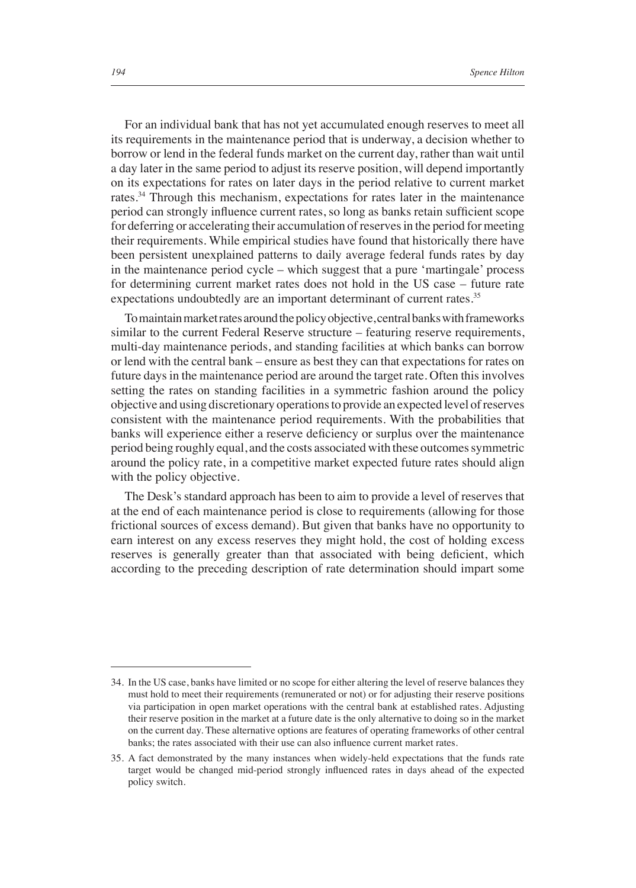For an individual bank that has not yet accumulated enough reserves to meet all its requirements in the maintenance period that is underway, a decision whether to borrow or lend in the federal funds market on the current day, rather than wait until a day later in the same period to adjust its reserve position, will depend importantly on its expectations for rates on later days in the period relative to current market rates.<sup>34</sup> Through this mechanism, expectations for rates later in the maintenance period can strongly influence current rates, so long as banks retain sufficient scope for deferring or accelerating their accumulation of reserves in the period for meeting their requirements. While empirical studies have found that historically there have been persistent unexplained patterns to daily average federal funds rates by day in the maintenance period cycle – which suggest that a pure 'martingale' process for determining current market rates does not hold in the US case – future rate expectations undoubtedly are an important determinant of current rates.<sup>35</sup>

To maintain market rates around the policy objective, central banks with frameworks similar to the current Federal Reserve structure – featuring reserve requirements, multi-day maintenance periods, and standing facilities at which banks can borrow or lend with the central bank – ensure as best they can that expectations for rates on future days in the maintenance period are around the target rate. Often this involves setting the rates on standing facilities in a symmetric fashion around the policy objective and using discretionary operations to provide an expected level of reserves consistent with the maintenance period requirements. With the probabilities that banks will experience either a reserve deficiency or surplus over the maintenance period being roughly equal, and the costs associated with these outcomes symmetric around the policy rate, in a competitive market expected future rates should align with the policy objective.

The Desk's standard approach has been to aim to provide a level of reserves that at the end of each maintenance period is close to requirements (allowing for those frictional sources of excess demand). But given that banks have no opportunity to earn interest on any excess reserves they might hold, the cost of holding excess reserves is generally greater than that associated with being deficient, which according to the preceding description of rate determination should impart some

<sup>34.</sup> In the US case, banks have limited or no scope for either altering the level of reserve balances they must hold to meet their requirements (remunerated or not) or for adjusting their reserve positions via participation in open market operations with the central bank at established rates. Adjusting their reserve position in the market at a future date is the only alternative to doing so in the market on the current day. These alternative options are features of operating frameworks of other central banks; the rates associated with their use can also influence current market rates.

<sup>35.</sup> A fact demonstrated by the many instances when widely-held expectations that the funds rate target would be changed mid-period strongly influenced rates in days ahead of the expected policy switch.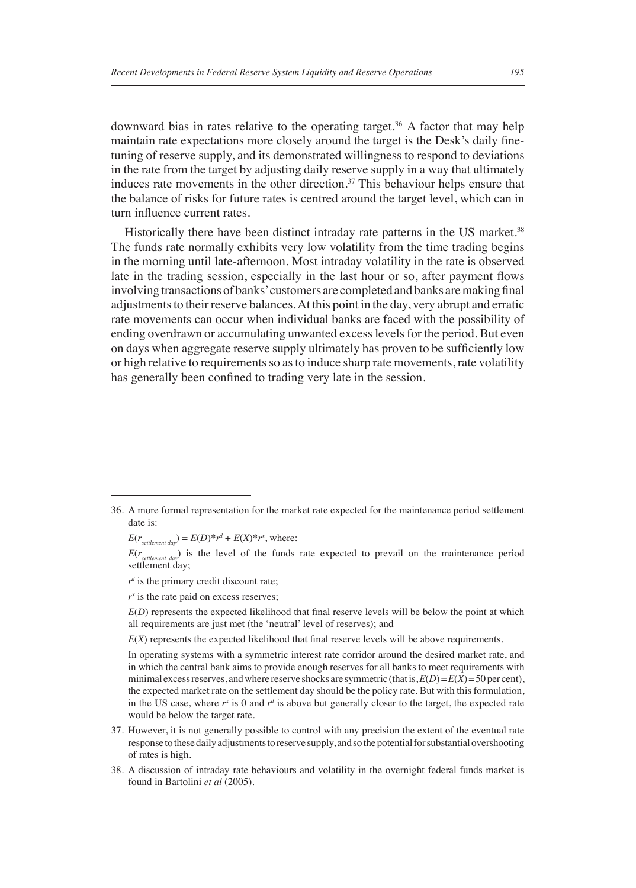downward bias in rates relative to the operating target.36 A factor that may help maintain rate expectations more closely around the target is the Desk's daily finetuning of reserve supply, and its demonstrated willingness to respond to deviations in the rate from the target by adjusting daily reserve supply in a way that ultimately induces rate movements in the other direction. $37$  This behaviour helps ensure that the balance of risks for future rates is centred around the target level, which can in turn influence current rates.

Historically there have been distinct intraday rate patterns in the US market.<sup>38</sup> The funds rate normally exhibits very low volatility from the time trading begins in the morning until late-afternoon. Most intraday volatility in the rate is observed late in the trading session, especially in the last hour or so, after payment flows involving transactions of banks' customers are completed and banks are making final adjustments to their reserve balances. At this point in the day, very abrupt and erratic rate movements can occur when individual banks are faced with the possibility of ending overdrawn or accumulating unwanted excess levels for the period. But even on days when aggregate reserve supply ultimately has proven to be sufficiently low or high relative to requirements so as to induce sharp rate movements, rate volatility has generally been confined to trading very late in the session.

 $E(r_{\text{setlement day}}) = E(D)^* r^d + E(X)^* r^x$ , where:

 $E(r_{setrement day})$  is the level of the funds rate expected to prevail on the maintenance period settlement day;

 $r^d$  is the primary credit discount rate;

 $r^x$  is the rate paid on excess reserves;

 $E(D)$  represents the expected likelihood that final reserve levels will be below the point at which all requirements are just met (the 'neutral' level of reserves); and

 $E(X)$  represents the expected likelihood that final reserve levels will be above requirements.

In operating systems with a symmetric interest rate corridor around the desired market rate, and in which the central bank aims to provide enough reserves for all banks to meet requirements with minimal excess reserves, and where reserve shocks are symmetric (that is,  $E(D) = E(X) = 50$  per cent), the expected market rate on the settlement day should be the policy rate. But with this formulation, in the US case, where  $r^x$  is 0 and  $r^d$  is above but generally closer to the target, the expected rate would be below the target rate.

- 37. However, it is not generally possible to control with any precision the extent of the eventual rate response to these daily adjustments to reserve supply, and so the potential for substantial overshooting of rates is high.
- 38. A discussion of intraday rate behaviours and volatility in the overnight federal funds market is found in Bartolini *et al* (2005).

<sup>36.</sup> A more formal representation for the market rate expected for the maintenance period settlement date is: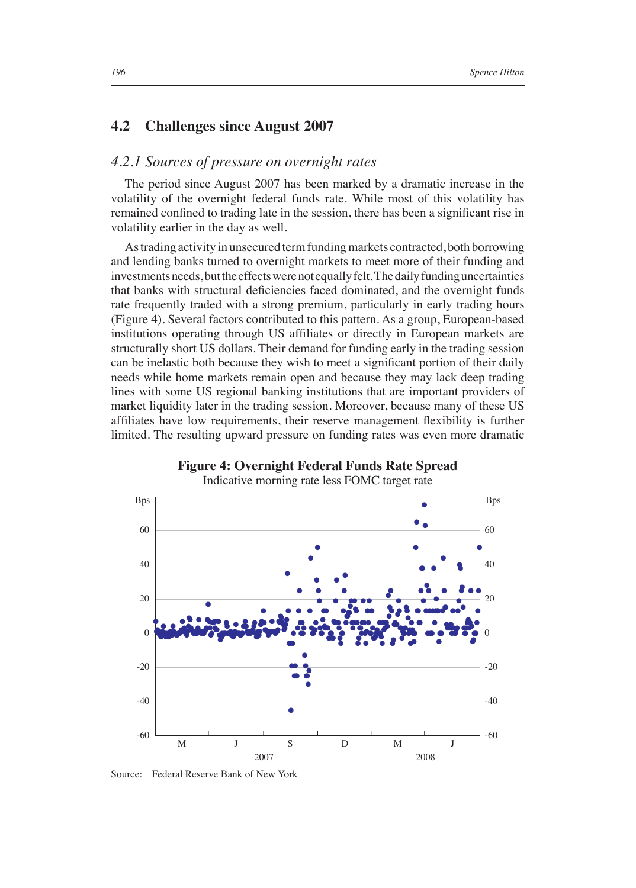### **4.2 Challenges since August 2007**

### *4.2.1 Sources of pressure on overnight rates*

The period since August 2007 has been marked by a dramatic increase in the volatility of the overnight federal funds rate. While most of this volatility has remained confined to trading late in the session, there has been a significant rise in volatility earlier in the day as well.

As trading activity in unsecured term funding markets contracted, both borrowing and lending banks turned to overnight markets to meet more of their funding and investments needs, but the effects were not equally felt. The daily funding uncertainties that banks with structural deficiencies faced dominated, and the overnight funds rate frequently traded with a strong premium, particularly in early trading hours (Figure 4). Several factors contributed to this pattern. As a group, European-based institutions operating through US affiliates or directly in European markets are structurally short US dollars. Their demand for funding early in the trading session can be inelastic both because they wish to meet a significant portion of their daily needs while home markets remain open and because they may lack deep trading lines with some US regional banking institutions that are important providers of market liquidity later in the trading session. Moreover, because many of these US affiliates have low requirements, their reserve management flexibility is further limited. The resulting upward pressure on funding rates was even more dramatic



**Figure 4: Overnight Federal Funds Rate Spread**

Source: Federal Reserve Bank of New York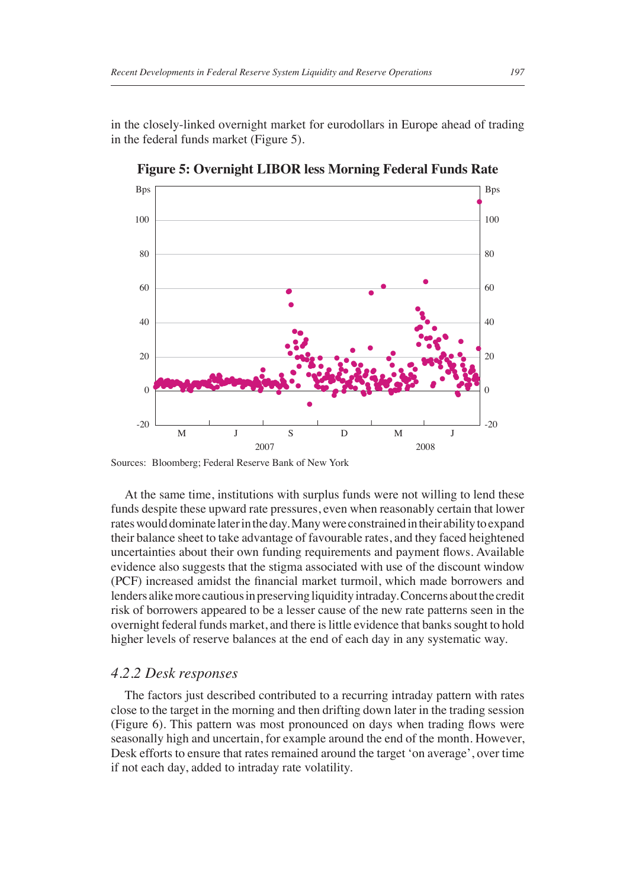in the closely-linked overnight market for eurodollars in Europe ahead of trading in the federal funds market (Figure 5).



**Figure 5: Overnight LIBOR less Morning Federal Funds Rate**

Sources: Bloomberg; Federal Reserve Bank of New York

At the same time, institutions with surplus funds were not willing to lend these funds despite these upward rate pressures, even when reasonably certain that lower rates would dominate later in the day. Many were constrained in their ability to expand their balance sheet to take advantage of favourable rates, and they faced heightened uncertainties about their own funding requirements and payment flows. Available evidence also suggests that the stigma associated with use of the discount window (PCF) increased amidst the financial market turmoil, which made borrowers and lenders alike more cautious in preserving liquidity intraday. Concerns about the credit risk of borrowers appeared to be a lesser cause of the new rate patterns seen in the overnight federal funds market, and there is little evidence that banks sought to hold higher levels of reserve balances at the end of each day in any systematic way.

#### *4.2.2 Desk responses*

The factors just described contributed to a recurring intraday pattern with rates close to the target in the morning and then drifting down later in the trading session (Figure 6). This pattern was most pronounced on days when trading flows were seasonally high and uncertain, for example around the end of the month. However, Desk efforts to ensure that rates remained around the target 'on average', over time if not each day, added to intraday rate volatility.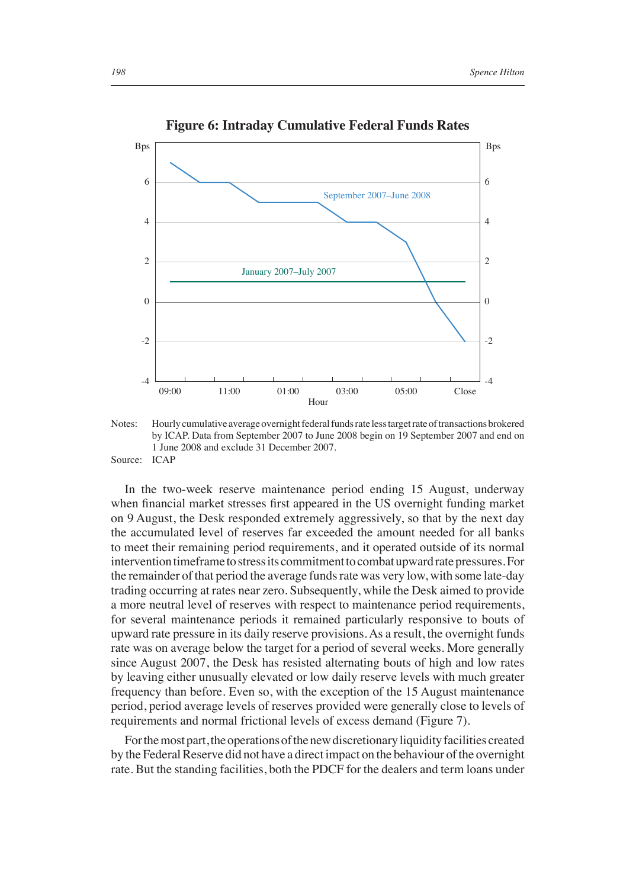

**Figure 6: Intraday Cumulative Federal Funds Rates**

Notes: Hourly cumulative average overnight federal funds rate less target rate of transactions brokered by ICAP. Data from September 2007 to June 2008 begin on 19 September 2007 and end on 1 June 2008 and exclude 31 December 2007. Source: ICAP

In the two-week reserve maintenance period ending 15 August, underway when financial market stresses first appeared in the US overnight funding market on 9 August, the Desk responded extremely aggressively, so that by the next day the accumulated level of reserves far exceeded the amount needed for all banks to meet their remaining period requirements, and it operated outside of its normal intervention timeframe to stress its commitment to combat upward rate pressures. For the remainder of that period the average funds rate was very low, with some late-day trading occurring at rates near zero. Subsequently, while the Desk aimed to provide a more neutral level of reserves with respect to maintenance period requirements, for several maintenance periods it remained particularly responsive to bouts of upward rate pressure in its daily reserve provisions. As a result, the overnight funds rate was on average below the target for a period of several weeks. More generally since August 2007, the Desk has resisted alternating bouts of high and low rates by leaving either unusually elevated or low daily reserve levels with much greater frequency than before. Even so, with the exception of the 15 August maintenance period, period average levels of reserves provided were generally close to levels of requirements and normal frictional levels of excess demand (Figure 7).

For the most part, the operations of the new discretionary liquidity facilities created by the Federal Reserve did not have a direct impact on the behaviour of the overnight rate. But the standing facilities, both the PDCF for the dealers and term loans under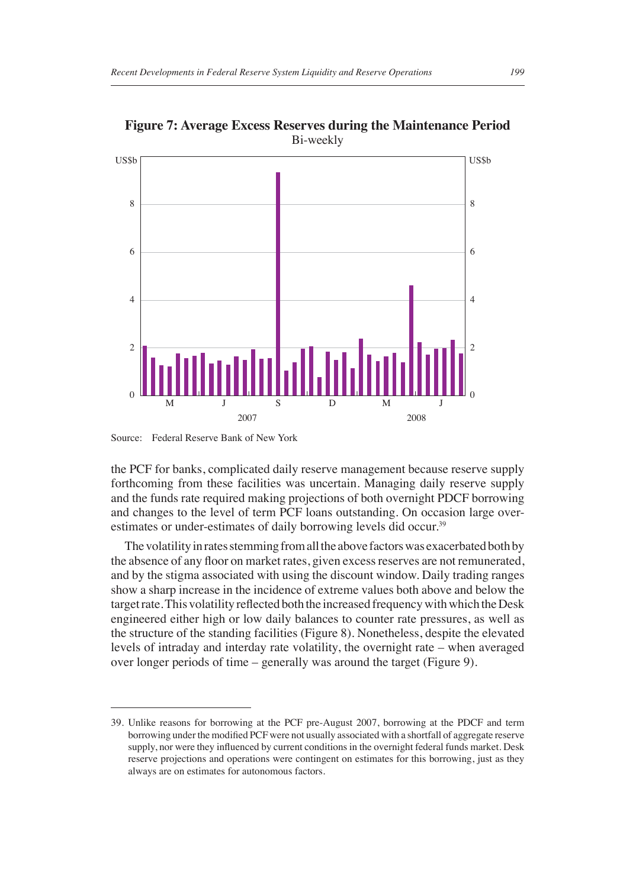

**Figure 7: Average Excess Reserves during the Maintenance Period** Bi-weekly

2

4

6

8

the PCF for banks, complicated daily reserve management because reserve supply forthcoming from these facilities was uncertain. Managing daily reserve supply and the funds rate required making projections of both overnight PDCF borrowing and changes to the level of term PCF loans outstanding. On occasion large overestimates or under-estimates of daily borrowing levels did occur.<sup>39</sup>

2007 2008

0 ll ll l

M J S D M

The volatility in rates stemming from all the above factors was exacerbated both by the absence of any floor on market rates, given excess reserves are not remunerated, and by the stigma associated with using the discount window. Daily trading ranges show a sharp increase in the incidence of extreme values both above and below the target rate. This volatility reflected both the increased frequency with which the Desk engineered either high or low daily balances to counter rate pressures, as well as the structure of the standing facilities (Figure 8). Nonetheless, despite the elevated levels of intraday and interday rate volatility, the overnight rate – when averaged over longer periods of time – generally was around the target (Figure 9).

0

J

Source: Federal Reserve Bank of New York

<sup>39.</sup> Unlike reasons for borrowing at the PCF pre-August 2007, borrowing at the PDCF and term borrowing under the modified PCF were not usually associated with a shortfall of aggregate reserve supply, nor were they influenced by current conditions in the overnight federal funds market. Desk reserve projections and operations were contingent on estimates for this borrowing, just as they always are on estimates for autonomous factors.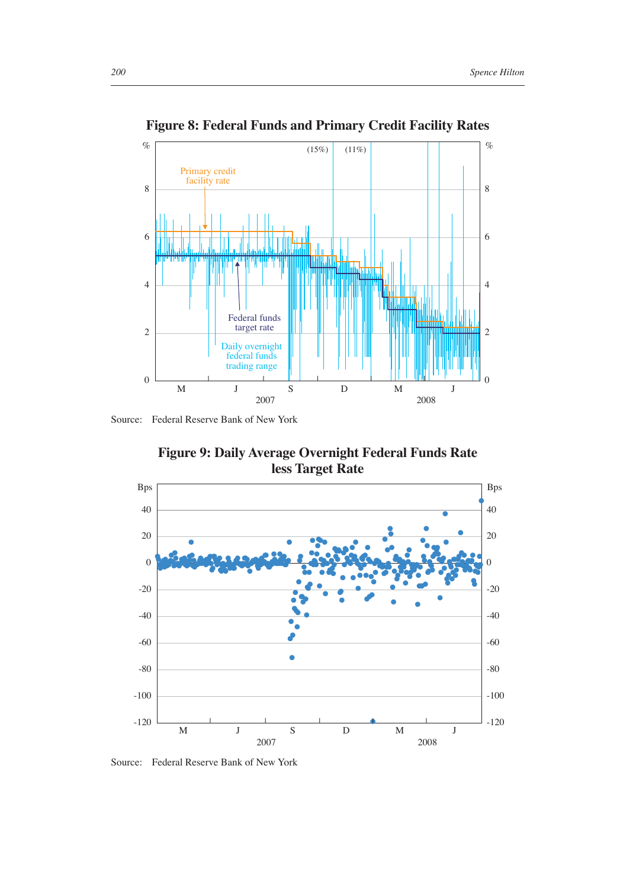

**Figure 8: Federal Funds and Primary Credit Facility Rates**

Source: Federal Reserve Bank of New York

**Figure 9: Daily Average Overnight Federal Funds Rate less Target Rate**



Source: Federal Reserve Bank of New York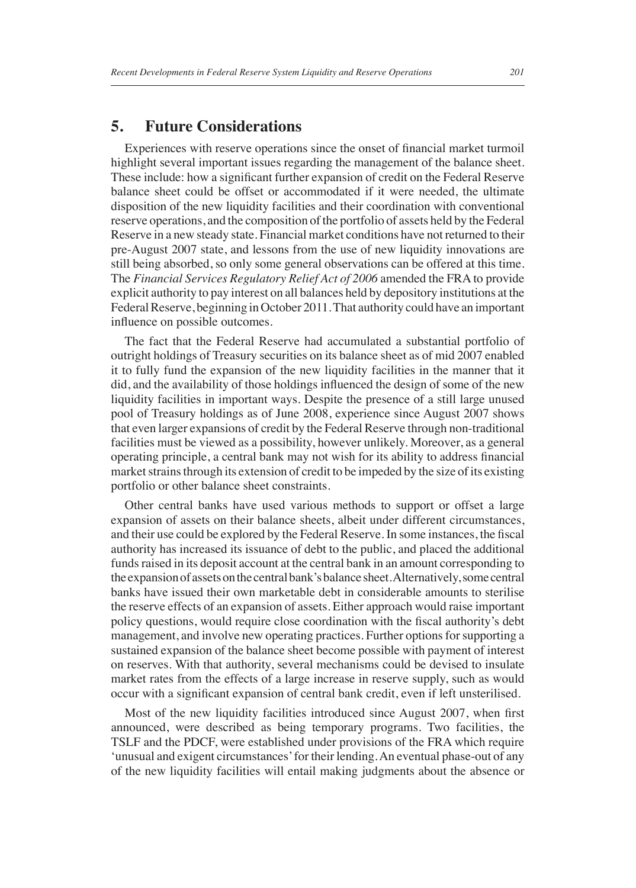## **5. Future Considerations**

Experiences with reserve operations since the onset of financial market turmoil highlight several important issues regarding the management of the balance sheet. These include: how a significant further expansion of credit on the Federal Reserve balance sheet could be offset or accommodated if it were needed, the ultimate disposition of the new liquidity facilities and their coordination with conventional reserve operations, and the composition of the portfolio of assets held by the Federal Reserve in a new steady state. Financial market conditions have not returned to their pre-August 2007 state, and lessons from the use of new liquidity innovations are still being absorbed, so only some general observations can be offered at this time. The *Financial Services Regulatory Relief Act of 2006* amended the FRA to provide explicit authority to pay interest on all balances held by depository institutions at the Federal Reserve, beginning in October 2011. That authority could have an important influence on possible outcomes.

The fact that the Federal Reserve had accumulated a substantial portfolio of outright holdings of Treasury securities on its balance sheet as of mid 2007 enabled it to fully fund the expansion of the new liquidity facilities in the manner that it did, and the availability of those holdings influenced the design of some of the new liquidity facilities in important ways. Despite the presence of a still large unused pool of Treasury holdings as of June 2008, experience since August 2007 shows that even larger expansions of credit by the Federal Reserve through non-traditional facilities must be viewed as a possibility, however unlikely. Moreover, as a general operating principle, a central bank may not wish for its ability to address financial market strains through its extension of credit to be impeded by the size of its existing portfolio or other balance sheet constraints.

Other central banks have used various methods to support or offset a large expansion of assets on their balance sheets, albeit under different circumstances, and their use could be explored by the Federal Reserve. In some instances, the fiscal authority has increased its issuance of debt to the public, and placed the additional funds raised in its deposit account at the central bank in an amount corresponding to the expansion of assets on the central bank's balance sheet. Alternatively, some central banks have issued their own marketable debt in considerable amounts to sterilise the reserve effects of an expansion of assets. Either approach would raise important policy questions, would require close coordination with the fiscal authority's debt management, and involve new operating practices. Further options for supporting a sustained expansion of the balance sheet become possible with payment of interest on reserves. With that authority, several mechanisms could be devised to insulate market rates from the effects of a large increase in reserve supply, such as would occur with a significant expansion of central bank credit, even if left unsterilised.

Most of the new liquidity facilities introduced since August 2007, when first announced, were described as being temporary programs. Two facilities, the TSLF and the PDCF, were established under provisions of the FRA which require 'unusual and exigent circumstances' for their lending. An eventual phase-out of any of the new liquidity facilities will entail making judgments about the absence or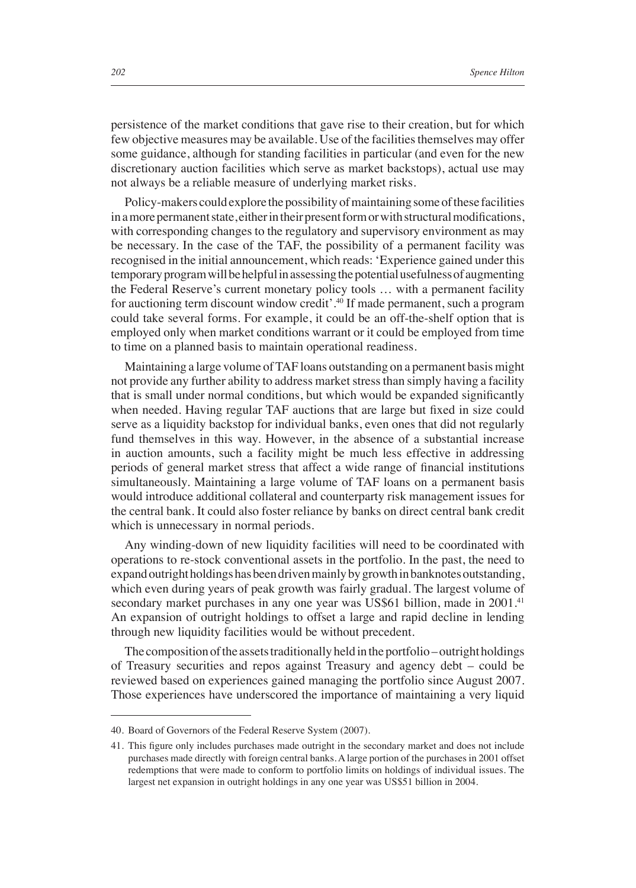persistence of the market conditions that gave rise to their creation, but for which few objective measures may be available. Use of the facilities themselves may offer some guidance, although for standing facilities in particular (and even for the new discretionary auction facilities which serve as market backstops), actual use may not always be a reliable measure of underlying market risks.

Policy-makers could explore the possibility of maintaining some of these facilities in a more permanent state, either in their present form or with structural modifications, with corresponding changes to the regulatory and supervisory environment as may be necessary. In the case of the TAF, the possibility of a permanent facility was recognised in the initial announcement, which reads: 'Experience gained under this temporary program will be helpful in assessing the potential usefulness of augmenting the Federal Reserve's current monetary policy tools … with a permanent facility for auctioning term discount window credit'.40 If made permanent, such a program could take several forms. For example, it could be an off-the-shelf option that is employed only when market conditions warrant or it could be employed from time to time on a planned basis to maintain operational readiness.

Maintaining a large volume of TAF loans outstanding on a permanent basis might not provide any further ability to address market stress than simply having a facility that is small under normal conditions, but which would be expanded significantly when needed. Having regular TAF auctions that are large but fixed in size could serve as a liquidity backstop for individual banks, even ones that did not regularly fund themselves in this way. However, in the absence of a substantial increase in auction amounts, such a facility might be much less effective in addressing periods of general market stress that affect a wide range of financial institutions simultaneously. Maintaining a large volume of TAF loans on a permanent basis would introduce additional collateral and counterparty risk management issues for the central bank. It could also foster reliance by banks on direct central bank credit which is unnecessary in normal periods.

Any winding-down of new liquidity facilities will need to be coordinated with operations to re-stock conventional assets in the portfolio. In the past, the need to expand outright holdings has been driven mainly by growth in banknotes outstanding, which even during years of peak growth was fairly gradual. The largest volume of secondary market purchases in any one year was US\$61 billion, made in 2001.<sup>41</sup> An expansion of outright holdings to offset a large and rapid decline in lending through new liquidity facilities would be without precedent.

The composition of the assets traditionally held in the portfolio – outright holdings of Treasury securities and repos against Treasury and agency debt – could be reviewed based on experiences gained managing the portfolio since August 2007. Those experiences have underscored the importance of maintaining a very liquid

<sup>40.</sup> Board of Governors of the Federal Reserve System (2007).

<sup>41.</sup> This figure only includes purchases made outright in the secondary market and does not include purchases made directly with foreign central banks. A large portion of the purchases in 2001 offset redemptions that were made to conform to portfolio limits on holdings of individual issues. The largest net expansion in outright holdings in any one year was US\$51 billion in 2004.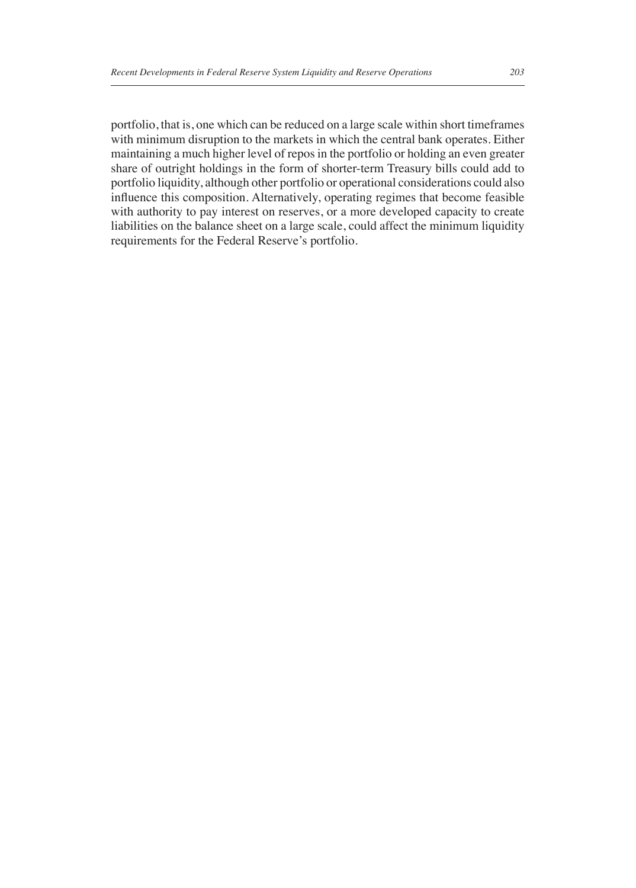portfolio, that is, one which can be reduced on a large scale within short timeframes with minimum disruption to the markets in which the central bank operates. Either maintaining a much higher level of repos in the portfolio or holding an even greater share of outright holdings in the form of shorter-term Treasury bills could add to portfolio liquidity, although other portfolio or operational considerations could also influence this composition. Alternatively, operating regimes that become feasible with authority to pay interest on reserves, or a more developed capacity to create liabilities on the balance sheet on a large scale, could affect the minimum liquidity requirements for the Federal Reserve's portfolio.